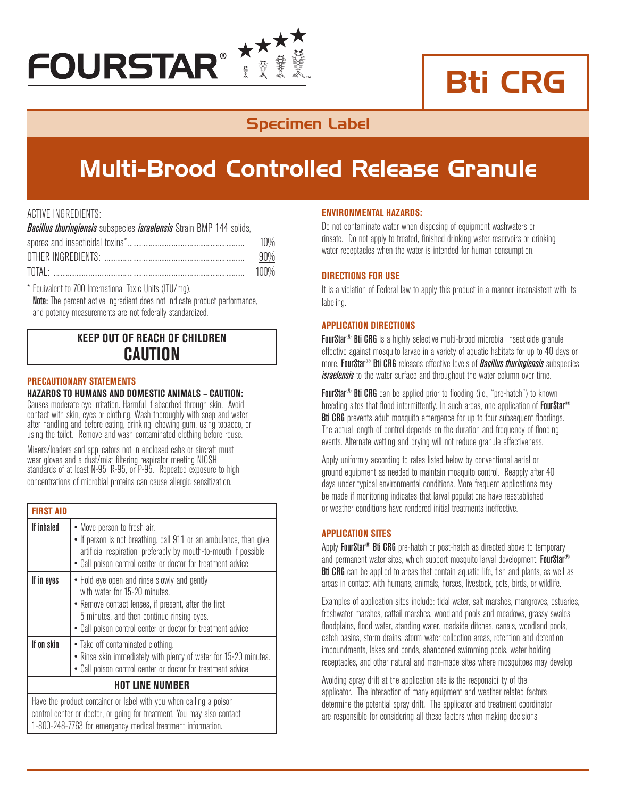

# Bti CRG

### Specimen Label

## Multi-Brood Controlled Release Granule

#### ACTIVE INGREDIENTS:

*Bacillus thuringiensis* subspecies *israelensis* Strain BMP 144 solids, spores and insecticidal toxins<sup>\*</sup>

| <u>UDULUU UITU IITUUUUUUUU LUATTU minininininininininininininininininin</u> | 1 U 7 U |
|-----------------------------------------------------------------------------|---------|
|                                                                             |         |
| TNTAI                                                                       |         |

\* Equivalent to 700 International Toxic Units (ITU/mg). Note: The percent active ingredient does not indicate product performance. and potency measurements are not federally standardized.

#### **KEEP OUT OF REACH OF CHILDREN CAUTION**

#### **PRECAUTIONARY STATEMENTS**

#### **HAZARDS TO HUMANS AND DOMESTIC ANIMALS – CAUTION:**

Causes moderate eye irritation. Harmful if absorbed through skin. Avoid contact with skin, eyes or clothing. Wash thoroughly with soap and water after handling and before eating, drinking, chewing gum, using tobacco, or using the toilet. Remove and wash contaminated clothing before reuse.

Mixers/loaders and applicators not in enclosed cabs or aircraft must wear gloves and a dust/mist filtering respirator meeting NIOSH standards of at least N-95, R-95, or P-95. Repeated exposure to high concentrations of microbial proteins can cause allergic sensitization.

| <b>FIRST AID</b>                                                                                                                                                                                            |                                                                                                                                                                                                                                                    |
|-------------------------------------------------------------------------------------------------------------------------------------------------------------------------------------------------------------|----------------------------------------------------------------------------------------------------------------------------------------------------------------------------------------------------------------------------------------------------|
| If inhaled                                                                                                                                                                                                  | • Move person to fresh air.<br>• If person is not breathing, call 911 or an ambulance, then give<br>artificial respiration, preferably by mouth-to-mouth if possible.<br>• Call poison control center or doctor for treatment advice.              |
| If in eyes                                                                                                                                                                                                  | • Hold eye open and rinse slowly and gently<br>with water for 15-20 minutes.<br>• Remove contact lenses, if present, after the first<br>5 minutes, and then continue rinsing eyes.<br>• Call poison control center or doctor for treatment advice. |
| If on skin                                                                                                                                                                                                  | • Take off contaminated clothing.<br>• Rinse skin immediately with plenty of water for 15-20 minutes.<br>• Call poison control center or doctor for treatment advice.                                                                              |
| <b>HOT LINE NUMBER</b>                                                                                                                                                                                      |                                                                                                                                                                                                                                                    |
| Have the product container or label with you when calling a poison<br>control center or doctor, or going for treatment. You may also contact<br>1-800-248-7763 for emergency medical treatment information. |                                                                                                                                                                                                                                                    |

#### **ENVIRONMENTAL HAZARDS:**

Do not contaminate water when disposing of equipment washwaters or rinsate. Do not apply to treated, finished drinking water reservoirs or drinking water receptacles when the water is intended for human consumption.

#### **DIRECTIONS FOR USE**

It is a violation of Federal law to apply this product in a manner inconsistent with its labeling.

#### **Application Directions**

FourStar<sup>®</sup> Bti CRG is a highly selective multi-brood microbial insecticide granule effective against mosquito larvae in a variety of aquatic habitats for up to 40 days or more. FourStar® Bti CRG releases effective levels of *Bacillus thuringiensis* subspecies *israelensis* to the water surface and throughout the water column over time.

FourStar<sup>®</sup> Bti CRG can be applied prior to flooding (i.e., "pre-hatch") to known breeding sites that flood intermittently. In such areas, one application of **FourStar**<sup>®</sup> **Bti CRG** prevents adult mosquito emergence for up to four subsequent floodings. The actual length of control depends on the duration and frequency of flooding events. Alternate wetting and drying will not reduce granule effectiveness.

Apply uniformly according to rates listed below by conventional aerial or ground equipment as needed to maintain mosquito control. Reapply after 40 days under typical environmental conditions. More frequent applications may be made if monitoring indicates that larval populations have reestablished or weather conditions have rendered initial treatments ineffective.

#### **APPLICATION SITES**

Apply **FourStar<sup>®</sup> Bti CRG** pre-hatch or post-hatch as directed above to temporary and permanent water sites, which support mosquito larval development. FourStar<sup>®</sup> Bti CRG can be applied to areas that contain aquatic life, fish and plants, as well as areas in contact with humans, animals, horses, livestock, pets, birds, or wildlife.

Examples of application sites include: tidal water, salt marshes, mangroves, estuaries, freshwater marshes, cattail marshes, woodland pools and meadows, grassy swales, floodplains, flood water, standing water, roadside ditches, canals, woodland pools, catch basins, storm drains, storm water collection areas, retention and detention impoundments, lakes and ponds, abandoned swimming pools, water holding receptacles, and other natural and man-made sites where mosquitoes may develop.

Avoiding spray drift at the application site is the responsibility of the applicator. The interaction of many equipment and weather related factors determine the potential spray drift. The applicator and treatment coordinator are responsible for considering all these factors when making decisions.